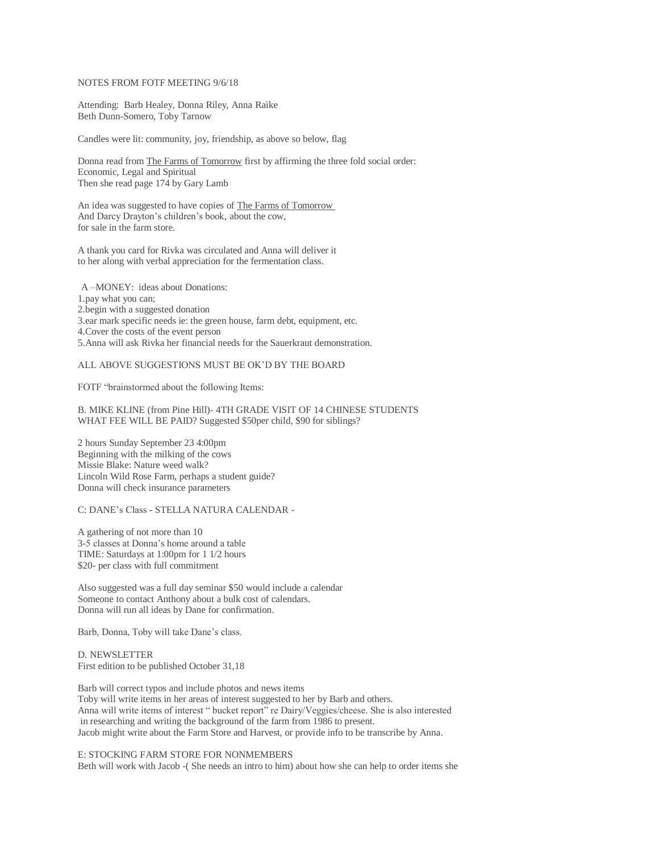## NOTES FROM FOTF MEETING 9/6/18

Attending: Barb Healey, Donna Riley, Anna Raike Beth Dunn-Somero, Toby Tarnow

Candles were lit: community, joy, friendship, as above so below, flag

Donna read from The Farms of Tomorrow first by affirming the three fold social order: Economic, Legal and Spiritual Then she read page 174 by Gary Lamb

An idea was suggested to have copies of The Farms of Tomorrow And Darcy Drayton's children's book, about the cow, for sale in the farm store.

A thank you card for Rivka was circulated and Anna will deliver it to her along with verbal appreciation for the fermentation class.

A –MONEY: ideas about Donations: 1.pay what you can; 2.begin with a suggested donation 3.ear mark specific needs ie: the green house, farm debt, equipment, etc. 4.Cover the costs of the event person 5.Anna will ask Rivka her financial needs for the Sauerkraut demonstration.

# ALL ABOVE SUGGESTIONS MUST BE OK'D BY THE BOARD

FOTF "brainstormed about the following Items:

### B. MIKE KLINE (from Pine Hill)- 4TH GRADE VISIT OF 14 CHINESE STUDENTS WHAT FEE WILL BE PAID? Suggested \$50per child, \$90 for siblings?

2 hours Sunday September 23 4:00pm Beginning with the milking of the cows Missie Blake: Nature weed walk? Lincoln Wild Rose Farm, perhaps a student guide? Donna will check insurance parameters

### C: DANE's Class - STELLA NATURA CALENDAR -

A gathering of not more than 10 3-5 classes at Donna's home around a table TIME: Saturdays at 1:00pm for 1 1/2 hours \$20- per class with full commitment

Also suggested was a full day seminar \$50 would include a calendar Someone to contact Anthony about a bulk cost of calendars. Donna will run all ideas by Dane for confirmation.

Barb, Donna, Toby will take Dane's class.

D. NEWSLETTER First edition to be published October 31,18

Barb will correct typos and include photos and news items Toby will write items in her areas of interest suggested to her by Barb and others. Anna will write items of interest " bucket report" re Dairy/Veggies/cheese. She is also interested in researching and writing the background of the farm from 1986 to present. Jacob might write about the Farm Store and Harvest, or provide info to be transcribe by Anna.

#### E: STOCKING FARM STORE FOR NONMEMBERS

Beth will work with Jacob -( She needs an intro to him) about how she can help to order items she